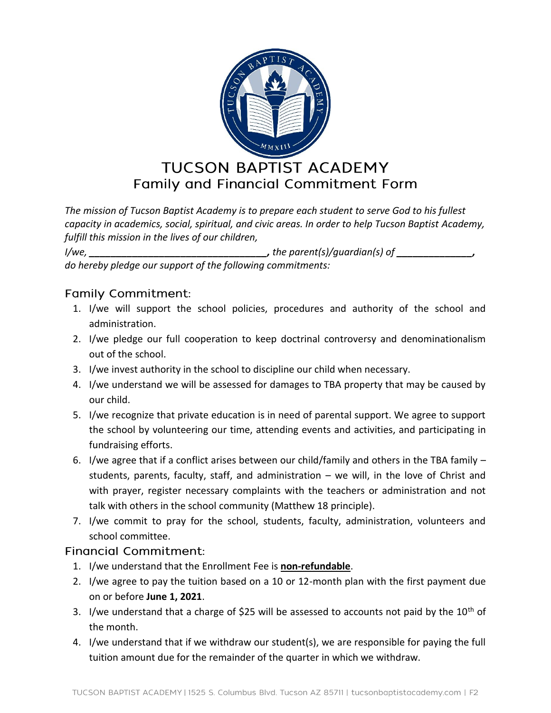

*The mission of Tucson Baptist Academy is to prepare each student to serve God to his fullest capacity in academics, social, spiritual, and civic areas. In order to help Tucson Baptist Academy, fulfill this mission in the lives of our children,* 

*I/we, \_\_\_\_\_\_\_\_\_\_\_\_\_\_\_\_\_\_\_\_\_\_\_\_\_\_\_\_\_\_\_\_\_, the parent(s)/guardian(s) of \_\_\_\_\_\_\_\_\_\_\_\_\_\_, do hereby pledge our support of the following commitments:*

## **Family Commitment:**

- 1. I/we will support the school policies, procedures and authority of the school and administration.
- 2. I/we pledge our full cooperation to keep doctrinal controversy and denominationalism out of the school.
- 3. I/we invest authority in the school to discipline our child when necessary.
- 4. I/we understand we will be assessed for damages to TBA property that may be caused by our child.
- 5. I/we recognize that private education is in need of parental support. We agree to support the school by volunteering our time, attending events and activities, and participating in fundraising efforts.
- 6. I/we agree that if a conflict arises between our child/family and others in the TBA family students, parents, faculty, staff, and administration – we will, in the love of Christ and with prayer, register necessary complaints with the teachers or administration and not talk with others in the school community (Matthew 18 principle).
- 7. I/we commit to pray for the school, students, faculty, administration, volunteers and school committee.

## Financial Commitment:

- 1. I/we understand that the Enrollment Fee is **non-refundable**.
- 2. I/we agree to pay the tuition based on a 10 or 12-month plan with the first payment due on or before **June 1, 2021**.
- 3. I/we understand that a charge of \$25 will be assessed to accounts not paid by the  $10<sup>th</sup>$  of the month.
- 4. I/we understand that if we withdraw our student(s), we are responsible for paying the full tuition amount due for the remainder of the quarter in which we withdraw.